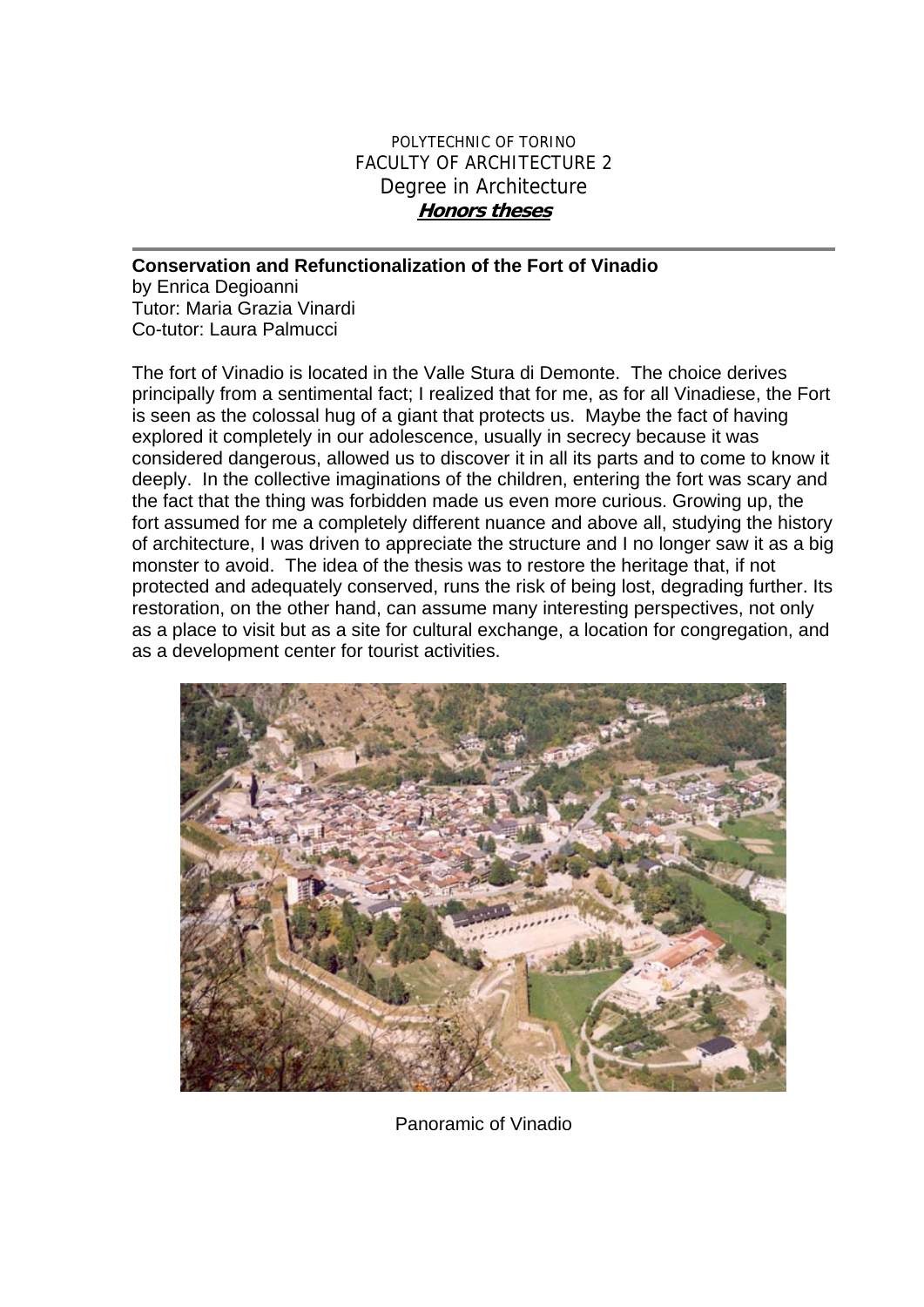## POLYTECHNIC OF TORINO FACULTY OF ARCHITECTURE 2 Degree in Architecture **Honors theses**

## **Conservation and Refunctionalization of the Fort of Vinadio**

by Enrica Degioanni Tutor: Maria Grazia Vinardi Co-tutor: Laura Palmucci

The fort of Vinadio is located in the Valle Stura di Demonte. The choice derives principally from a sentimental fact; I realized that for me, as for all Vinadiese, the Fort is seen as the colossal hug of a giant that protects us. Maybe the fact of having explored it completely in our adolescence, usually in secrecy because it was considered dangerous, allowed us to discover it in all its parts and to come to know it deeply. In the collective imaginations of the children, entering the fort was scary and the fact that the thing was forbidden made us even more curious. Growing up, the fort assumed for me a completely different nuance and above all, studying the history of architecture, I was driven to appreciate the structure and I no longer saw it as a big monster to avoid. The idea of the thesis was to restore the heritage that, if not protected and adequately conserved, runs the risk of being lost, degrading further. Its restoration, on the other hand, can assume many interesting perspectives, not only as a place to visit but as a site for cultural exchange, a location for congregation, and as a development center for tourist activities.



Panoramic of Vinadio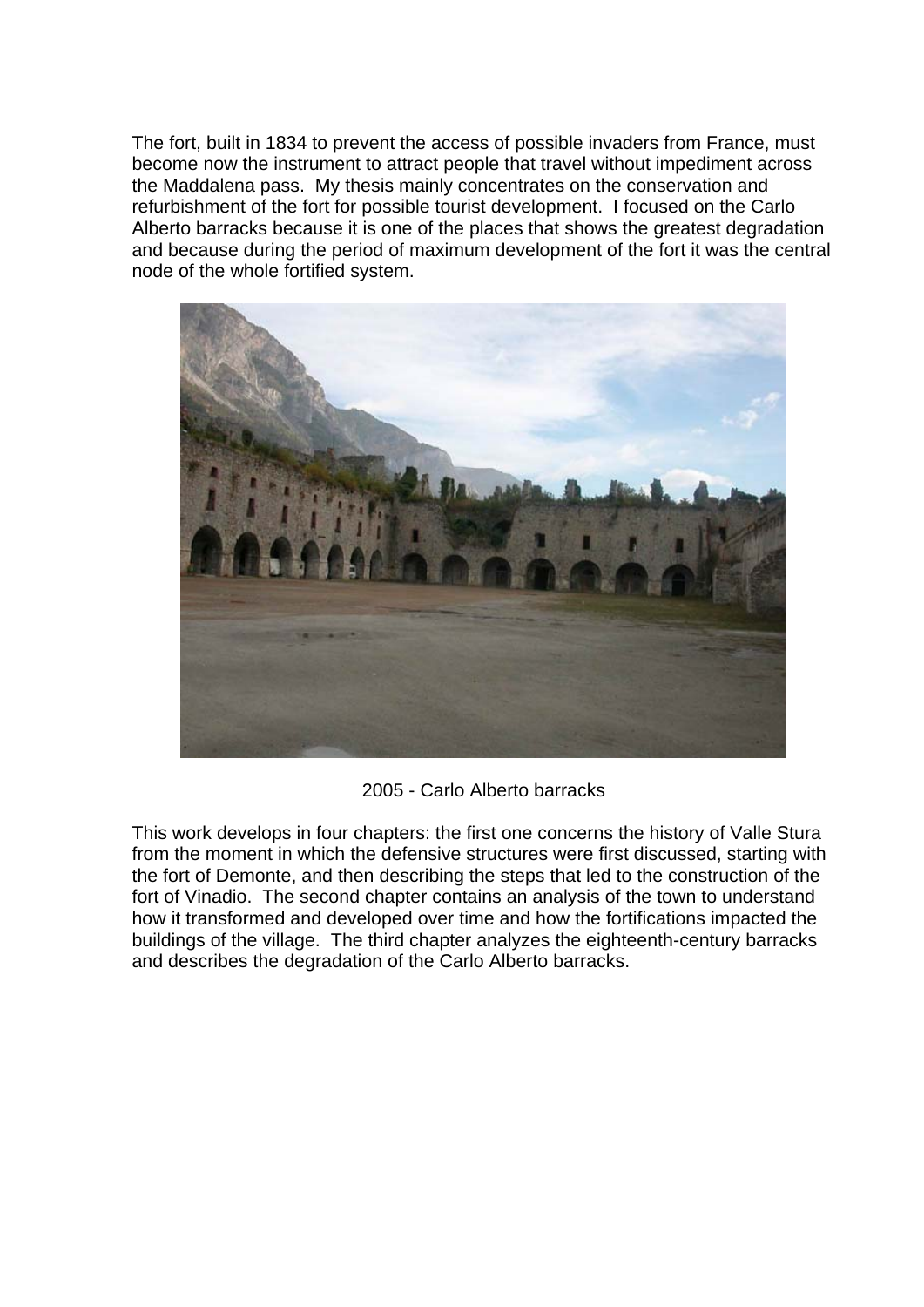The fort, built in 1834 to prevent the access of possible invaders from France, must become now the instrument to attract people that travel without impediment across the Maddalena pass. My thesis mainly concentrates on the conservation and refurbishment of the fort for possible tourist development. I focused on the Carlo Alberto barracks because it is one of the places that shows the greatest degradation and because during the period of maximum development of the fort it was the central node of the whole fortified system.



2005 - Carlo Alberto barracks

This work develops in four chapters: the first one concerns the history of Valle Stura from the moment in which the defensive structures were first discussed, starting with the fort of Demonte, and then describing the steps that led to the construction of the fort of Vinadio. The second chapter contains an analysis of the town to understand how it transformed and developed over time and how the fortifications impacted the buildings of the village. The third chapter analyzes the eighteenth-century barracks and describes the degradation of the Carlo Alberto barracks.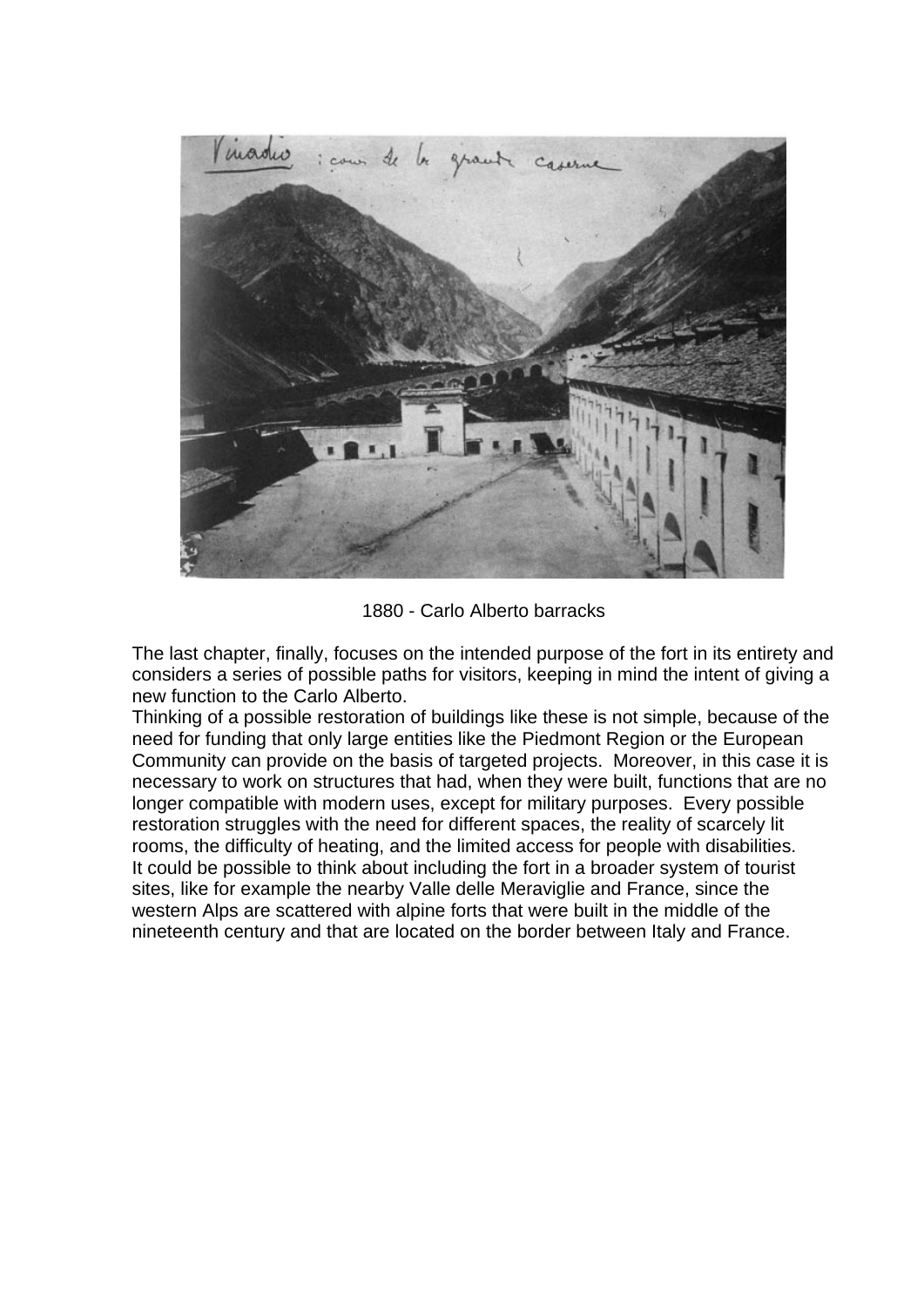

1880 - Carlo Alberto barracks

The last chapter, finally, focuses on the intended purpose of the fort in its entirety and considers a series of possible paths for visitors, keeping in mind the intent of giving a new function to the Carlo Alberto.

Thinking of a possible restoration of buildings like these is not simple, because of the need for funding that only large entities like the Piedmont Region or the European Community can provide on the basis of targeted projects. Moreover, in this case it is necessary to work on structures that had, when they were built, functions that are no longer compatible with modern uses, except for military purposes. Every possible restoration struggles with the need for different spaces, the reality of scarcely lit rooms, the difficulty of heating, and the limited access for people with disabilities. It could be possible to think about including the fort in a broader system of tourist sites, like for example the nearby Valle delle Meraviglie and France, since the western Alps are scattered with alpine forts that were built in the middle of the nineteenth century and that are located on the border between Italy and France.